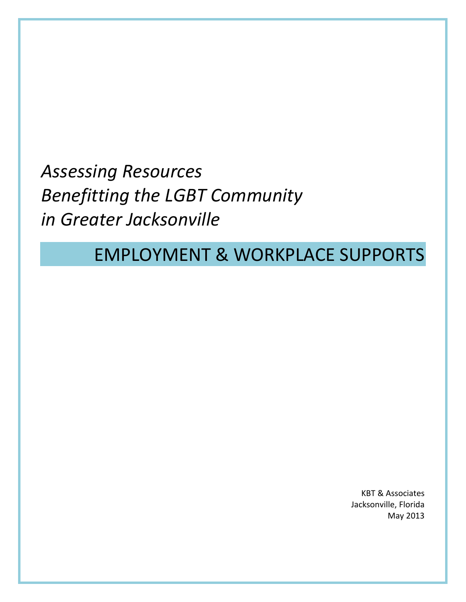*Assessing Resources Benefitting the LGBT Community in Greater Jacksonville*

# EMPLOYMENT & WORKPLACE SUPPORTS

KBT & Associates Jacksonville, Florida May 2013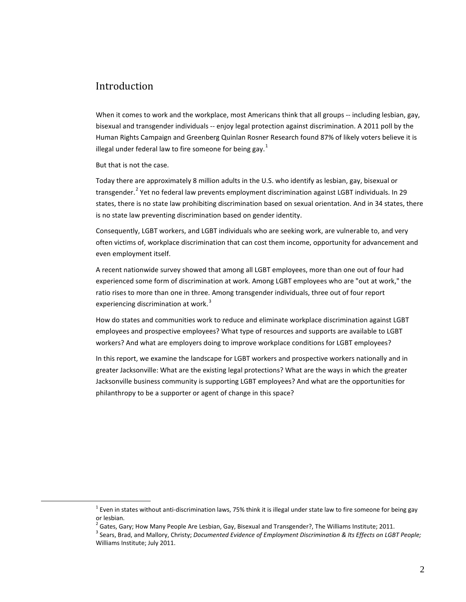# Introduction

When it comes to work and the workplace, most Americans think that all groups -- including lesbian, gay, bisexual and transgender individuals -- enjoy legal protection against discrimination. A 2011 poll by the Human Rights Campaign and Greenberg Quinlan Rosner Research found 87% of likely voters believe it is illegal under federal law to fire someone for being gay.<sup>[1](#page-1-0)</sup>

But that is not the case.

<span id="page-1-2"></span><span id="page-1-1"></span><span id="page-1-0"></span> $\overline{a}$ 

Today there are approximately 8 million adults in the U.S. who identify as lesbian, gay, bisexual or transgender.<sup>[2](#page-1-1)</sup> Yet no federal law prevents employment discrimination against LGBT individuals. In 29 states, there is no state law prohibiting discrimination based on sexual orientation. And in 34 states, there is no state law preventing discrimination based on gender identity.

Consequently, LGBT workers, and LGBT individuals who are seeking work, are vulnerable to, and very often victims of, workplace discrimination that can cost them income, opportunity for advancement and even employment itself.

A recent nationwide survey showed that among all LGBT employees, more than one out of four had experienced some form of discrimination at work. Among LGBT employees who are "out at work," the ratio rises to more than one in three. Among transgender individuals, three out of four report experiencing discrimination at work.<sup>[3](#page-1-2)</sup>

How do states and communities work to reduce and eliminate workplace discrimination against LGBT employees and prospective employees? What type of resources and supports are available to LGBT workers? And what are employers doing to improve workplace conditions for LGBT employees?

In this report, we examine the landscape for LGBT workers and prospective workers nationally and in greater Jacksonville: What are the existing legal protections? What are the ways in which the greater Jacksonville business community is supporting LGBT employees? And what are the opportunities for philanthropy to be a supporter or agent of change in this space?

 $1$  Even in states without anti-discrimination laws, 75% think it is illegal under state law to fire someone for being gay or lesbian.

 $^2$  Gates, Gary; How Many People Are Lesbian, Gay, Bisexual and Transgender?, The Williams Institute; 2011.

<sup>3</sup> Sears, Brad, and Mallory, Christy; *Documented Evidence of Employment Discrimination & Its Effects on LGBT People;* Williams Institute; July 2011.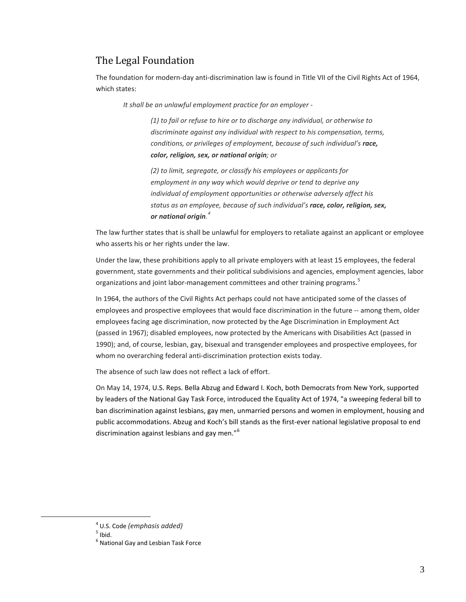## The Legal Foundation

The foundation for modern-day anti-discrimination law is found in Title VII of the Civil Rights Act of 1964, which states:

*It shall be an unlawful employment practice for an employer -*

*(1) to fail or refuse to hire or to discharge any individual, or otherwise to discriminate against any individual with respect to his compensation, terms, conditions, or privileges of employment, because of such individual's race, color, religion, sex, or national origin; or*

*(2) to limit, segregate, or classify his employees or applicants for employment in any way which would deprive or tend to deprive any individual of employment opportunities or otherwise adversely affect his status as an employee, because of such individual's race, color, religion, sex, or national origin. [4](#page-2-0)*

The law further states that is shall be unlawful for employers to retaliate against an applicant or employee who asserts his or her rights under the law.

Under the law, these prohibitions apply to all private employers with at least 15 employees, the federal government, state governments and their political subdivisions and agencies, employment agencies, labor organizations and joint labor-management committees and other training programs.<sup>[5](#page-2-1)</sup>

In 1964, the authors of the Civil Rights Act perhaps could not have anticipated some of the classes of employees and prospective employees that would face discrimination in the future -- among them, older employees facing age discrimination, now protected by the Age Discrimination in Employment Act (passed in 1967); disabled employees, now protected by the Americans with Disabilities Act (passed in 1990); and, of course, lesbian, gay, bisexual and transgender employees and prospective employees, for whom no overarching federal anti-discrimination protection exists today.

The absence of such law does not reflect a lack of effort.

On May 14, 1974, U.S. Reps. Bella Abzug and Edward I. Koch, both Democrats from New York, supported by leaders of the National Gay Task Force, introduced the Equality Act of 1974, "a sweeping federal bill to ban discrimination against lesbians, gay men, unmarried persons and women in employment, housing and public accommodations. Abzug and Koch's bill stands as the first-ever national legislative proposal to end discrimination against lesbians and gay men."<sup>[6](#page-2-2)</sup>

<span id="page-2-2"></span><span id="page-2-1"></span><span id="page-2-0"></span> $\overline{a}$ 

<sup>&</sup>lt;sup>4</sup> U.S. Code (emphasis added)<sup>5</sup> Ibid.

<sup>6</sup> National Gay and Lesbian Task Force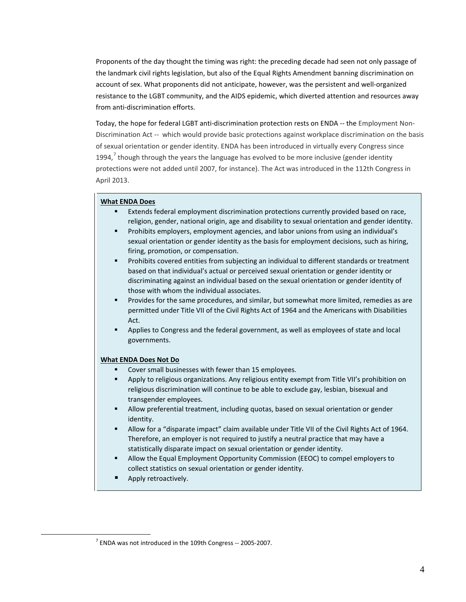Proponents of the day thought the timing was right: the preceding decade had seen not only passage of the landmark civil rights legislation, but also of the Equal Rights Amendment banning discrimination on account of sex. What proponents did not anticipate, however, was the persistent and well-organized resistance to the LGBT community, and the AIDS epidemic, which diverted attention and resources away from anti-discrimination efforts.

Today, the hope for federal LGBT anti-discrimination protection rests on ENDA -- the Employment Non-Discrimination Act -- which would provide basic protections against workplace discrimination on the basis of sexual orientation or gender identity. ENDA has been introduced in virtually every Congress since 1994,<sup>[7](#page-3-0)</sup> though through the years the language has evolved to be more inclusive (gender identity protections were not added until 2007, for instance). The Act was introduced in the 112th Congress in April 2013.

## **What ENDA Does**

- Extends federal employment discrimination protections currently provided based on race, religion, gender, national origin, age and disability to sexual orientation and gender identity.
- Prohibits employers, employment agencies, and labor unions from using an individual's sexual orientation or gender identity as the basis for employment decisions, such as hiring, firing, promotion, or compensation.
- Prohibits covered entities from subjecting an individual to different standards or treatment based on that individual's actual or perceived sexual orientation or gender identity or discriminating against an individual based on the sexual orientation or gender identity of those with whom the individual associates.
- **Provides for the same procedures, and similar, but somewhat more limited, remedies as are** permitted under Title VII of the Civil Rights Act of 1964 and the Americans with Disabilities Act.
- **Applies to Congress and the federal government, as well as employees of state and local** governments.

#### **What ENDA Does Not Do**

- Cover small businesses with fewer than 15 employees.
- **•** Apply to religious organizations. Any religious entity exempt from Title VII's prohibition on religious discrimination will continue to be able to exclude gay, lesbian, bisexual and transgender employees.
- Allow preferential treatment, including quotas, based on sexual orientation or gender identity.
- Allow for a "disparate impact" claim available under Title VII of the Civil Rights Act of 1964. Therefore, an employer is not required to justify a neutral practice that may have a statistically disparate impact on sexual orientation or gender identity.
- Allow the Equal Employment Opportunity Commission (EEOC) to compel employers to collect statistics on sexual orientation or gender identity.
- Apply retroactively.

<span id="page-3-0"></span> $\overline{a}$ 

 $7$  ENDA was not introduced in the 109th Congress -- 2005-2007.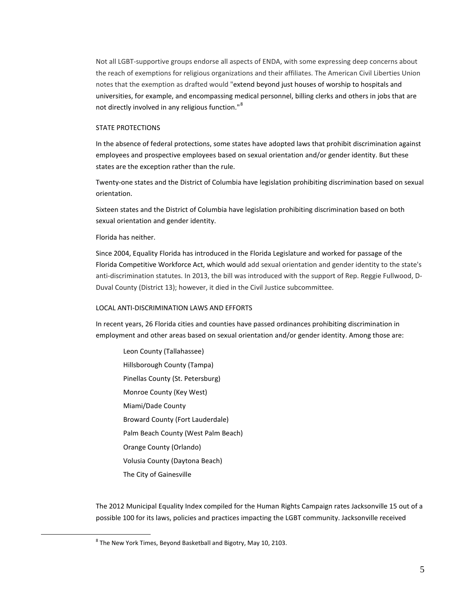Not all LGBT-supportive groups endorse all aspects of ENDA, with some expressing deep concerns about the reach of exemptions for religious organizations and their affiliates. The American Civil Liberties Union notes that the exemption as drafted would "extend beyond just houses of worship to hospitals and universities, for example, and encompassing medical personnel, billing clerks and others in jobs that are not directly involved in any religious function."<sup>[8](#page-4-0)</sup>

## STATE PROTECTIONS

In the absence of federal protections, some states have adopted laws that prohibit discrimination against employees and prospective employees based on sexual orientation and/or gender identity. But these states are the exception rather than the rule.

Twenty-one states and the District of Columbia have legislation prohibiting discrimination based on sexual orientation.

Sixteen states and the District of Columbia have legislation prohibiting discrimination based on both sexual orientation and gender identity.

Florida has neither.

<span id="page-4-0"></span> $\overline{a}$ 

Since 2004, Equality Florida has introduced in the Florida Legislature and worked for passage of the Florida Competitive Workforce Act, which would add sexual orientation and gender identity to the state's anti-discrimination statutes. In 2013, the bill was introduced with the support of Rep. Reggie Fullwood, D-Duval County (District 13); however, it died in the Civil Justice subcommittee.

## LOCAL ANTI-DISCRIMINATION LAWS AND EFFORTS

In recent years, 26 Florida cities and counties have passed ordinances prohibiting discrimination in employment and other areas based on sexual orientation and/or gender identity. Among those are:

Leon County (Tallahassee) Hillsborough County (Tampa) Pinellas County (St. Petersburg) Monroe County (Key West) Miami/Dade County Broward County (Fort Lauderdale) Palm Beach County (West Palm Beach) Orange County (Orlando) Volusia County (Daytona Beach) The City of Gainesville

The 2012 Municipal Equality Index compiled for the Human Rights Campaign rates Jacksonville 15 out of a possible 100 for its laws, policies and practices impacting the LGBT community. Jacksonville received

<sup>&</sup>lt;sup>8</sup> The New York Times, Beyond Basketball and Bigotry, May 10, 2103.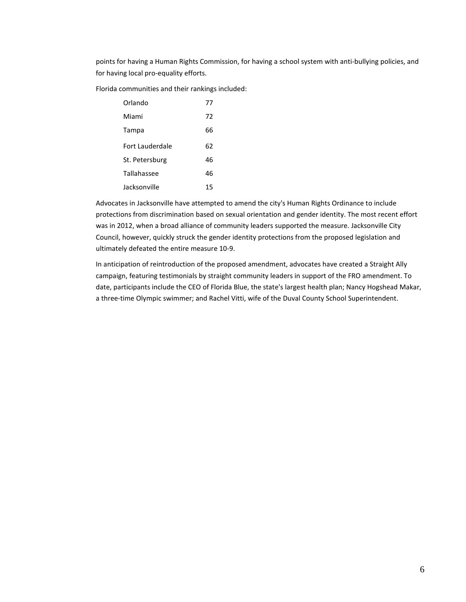points for having a Human Rights Commission, for having a school system with anti-bullying policies, and for having local pro-equality efforts.

Florida communities and their rankings included:

| Orlando         | 77 |
|-----------------|----|
| Miami           | 72 |
| Tampa           | 66 |
| Fort Lauderdale | 62 |
| St. Petersburg  | 46 |
| Tallahassee     | 46 |
| Jacksonville    | 15 |

Advocates in Jacksonville have attempted to amend the city's Human Rights Ordinance to include protections from discrimination based on sexual orientation and gender identity. The most recent effort was in 2012, when a broad alliance of community leaders supported the measure. Jacksonville City Council, however, quickly struck the gender identity protections from the proposed legislation and ultimately defeated the entire measure 10-9.

In anticipation of reintroduction of the proposed amendment, advocates have created a Straight Ally campaign, featuring testimonials by straight community leaders in support of the FRO amendment. To date, participants include the CEO of Florida Blue, the state's largest health plan; Nancy Hogshead Makar, a three-time Olympic swimmer; and Rachel Vitti, wife of the Duval County School Superintendent.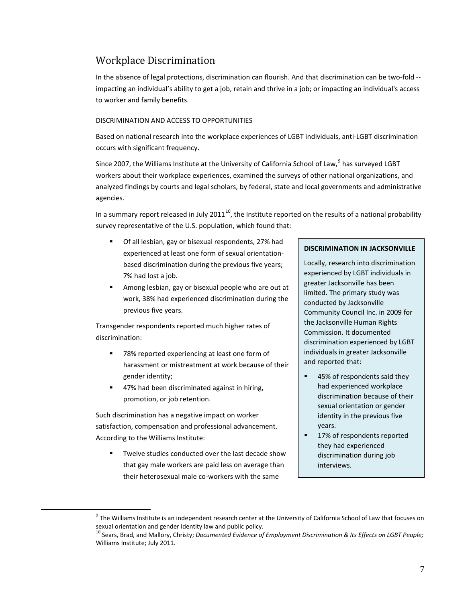# Workplace Discrimination

In the absence of legal protections, discrimination can flourish. And that discrimination can be two-fold - impacting an individual's ability to get a job, retain and thrive in a job; or impacting an individual's access to worker and family benefits.

## DISCRIMINATION AND ACCESS TO OPPORTUNITIES

Based on national research into the workplace experiences of LGBT individuals, anti-LGBT discrimination occurs with significant frequency.

Since 2007, the Williams Institute at the University of California School of Law, <sup>[9](#page-6-0)</sup> has surveyed LGBT workers about their workplace experiences, examined the surveys of other national organizations, and analyzed findings by courts and legal scholars, by federal, state and local governments and administrative agencies.

In a summary report released in July 2011<sup>10</sup>, the Institute reported on the results of a national probability survey representative of the U.S. population, which found that:

- Of all lesbian, gay or bisexual respondents, 27% had experienced at least one form of sexual orientationbased discrimination during the previous five years; 7% had lost a job.
- Among lesbian, gay or bisexual people who are out at work, 38% had experienced discrimination during the previous five years.

Transgender respondents reported much higher rates of discrimination:

- 78% reported experiencing at least one form of harassment or mistreatment at work because of their gender identity;
- 47% had been discriminated against in hiring, promotion, or job retention.

Such discrimination has a negative impact on worker satisfaction, compensation and professional advancement. According to the Williams Institute:

<span id="page-6-1"></span><span id="page-6-0"></span> $\overline{a}$ 

 Twelve studies conducted over the last decade show that gay male workers are paid less on average than their heterosexual male co-workers with the same

## **DISCRIMINATION IN JACKSONVILLE**

Locally, research into discrimination experienced by LGBT individuals in greater Jacksonville has been limited. The primary study was conducted by Jacksonville Community Council Inc. in 2009 for the Jacksonville Human Rights Commission. It documented discrimination experienced by LGBT individuals in greater Jacksonville and reported that:

- 45% of respondents said they had experienced workplace discrimination because of their sexual orientation or gender identity in the previous five years.
- 17% of respondents reported they had experienced discrimination during job interviews.

 $9$  The Williams Institute is an independent research center at the University of California School of Law that focuses on sexual orientation and gender identity law and public policy.

<sup>&</sup>lt;sup>10</sup> Sears, Brad, and Mallory, Christy; *Documented Evidence of Employment Discrimination & Its Effects on LGBT People;* Williams Institute; July 2011.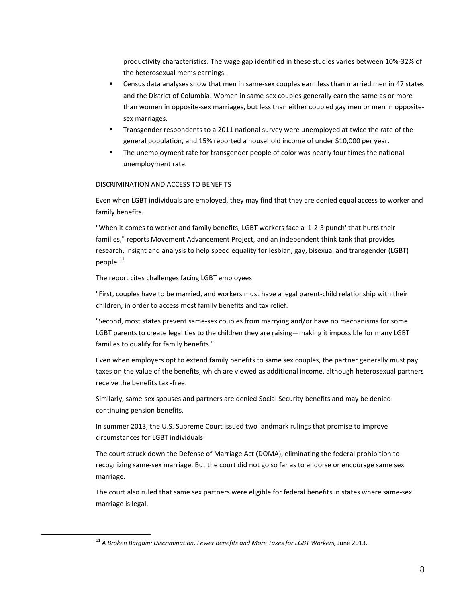productivity characteristics. The wage gap identified in these studies varies between 10%-32% of the heterosexual men's earnings.

- Census data analyses show that men in same-sex couples earn less than married men in 47 states and the District of Columbia. Women in same-sex couples generally earn the same as or more than women in opposite-sex marriages, but less than either coupled gay men or men in oppositesex marriages.
- Transgender respondents to a 2011 national survey were unemployed at twice the rate of the general population, and 15% reported a household income of under \$10,000 per year.
- The unemployment rate for transgender people of color was nearly four times the national unemployment rate.

## DISCRIMINATION AND ACCESS TO BENEFITS

Even when LGBT individuals are employed, they may find that they are denied equal access to worker and family benefits.

"When it comes to worker and family benefits, LGBT workers face a '1-2-3 punch' that hurts their families," reports Movement Advancement Project, and an independent think tank that provides research, insight and analysis to help speed equality for lesbian, gay, bisexual and transgender (LGBT) people.<sup>[11](#page-7-0)</sup>

The report cites challenges facing LGBT employees:

<span id="page-7-0"></span> $\overline{a}$ 

"First, couples have to be married, and workers must have a legal parent-child relationship with their children, in order to access most family benefits and tax relief.

"Second, most states prevent same-sex couples from marrying and/or have no mechanisms for some LGBT parents to create legal ties to the children they are raising—making it impossible for many LGBT families to qualify for family benefits."

Even when employers opt to extend family benefits to same sex couples, the partner generally must pay taxes on the value of the benefits, which are viewed as additional income, although heterosexual partners receive the benefits tax -free.

Similarly, same-sex spouses and partners are denied Social Security benefits and may be denied continuing pension benefits.

In summer 2013, the U.S. Supreme Court issued two landmark rulings that promise to improve circumstances for LGBT individuals:

The court struck down the Defense of Marriage Act (DOMA), eliminating the federal prohibition to recognizing same-sex marriage. But the court did not go so far as to endorse or encourage same sex marriage.

The court also ruled that same sex partners were eligible for federal benefits in states where same-sex marriage is legal.

<sup>&</sup>lt;sup>11</sup> A Broken Bargain: Discrimination, Fewer Benefits and More Taxes for LGBT Workers, June 2013.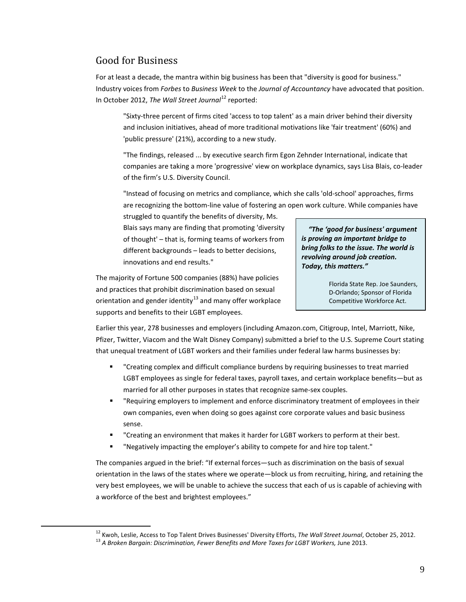# Good for Business

<span id="page-8-1"></span><span id="page-8-0"></span> $\overline{a}$ 

For at least a decade, the mantra within big business has been that "diversity is good for business." Industry voices from *Forbes* to *Business Week* to the *Journal of Accountancy* have advocated that position. In October 20[12](#page-8-0), *The Wall Street Journal*<sup>12</sup> reported:

"Sixty-three percent of firms cited 'access to top talent' as a main driver behind their diversity and inclusion initiatives, ahead of more traditional motivations like 'fair treatment' (60%) and 'public pressure' (21%), according to a new study.

"The findings, released ... by executive search firm Egon Zehnder International, indicate that companies are taking a more 'progressive' view on workplace dynamics, says Lisa Blais, co-leader of the firm's U.S. Diversity Council.

"Instead of focusing on metrics and compliance, which she calls 'old-school' approaches, firms are recognizing the bottom-line value of fostering an open work culture. While companies have

struggled to quantify the benefits of diversity, Ms. Blais says many are finding that promoting 'diversity of thought' – that is, forming teams of workers from different backgrounds – leads to better decisions, innovations and end results."

 *"The 'good for business' argument is proving an important bridge to bring folks to the issue. The world is revolving around job creation. Today, this matters."*

The majority of Fortune 500 companies (88%) have policies and practices that prohibit discrimination based on sexual orientation and gender identity $^{13}$  $^{13}$  $^{13}$  and many offer workplace supports and benefits to their LGBT employees.

Florida State Rep. Joe Saunders, D-Orlando; Sponsor of Florida Competitive Workforce Act.

Earlier this year, 278 businesses and employers (including Amazon.com, Citigroup, Intel, Marriott, Nike, Pfizer, Twitter, Viacom and the Walt Disney Company) submitted a brief to the U.S. Supreme Court stating that unequal treatment of LGBT workers and their families under federal law harms businesses by:

- "Creating complex and difficult compliance burdens by requiring businesses to treat married LGBT employees as single for federal taxes, payroll taxes, and certain workplace benefits—but as married for all other purposes in states that recognize same-sex couples.
- "Requiring employers to implement and enforce discriminatory treatment of employees in their own companies, even when doing so goes against core corporate values and basic business sense.
- " Creating an environment that makes it harder for LGBT workers to perform at their best.
- "Negatively impacting the employer's ability to compete for and hire top talent."

The companies argued in the brief: "If external forces—such as discrimination on the basis of sexual orientation in the laws of the states where we operate—block us from recruiting, hiring, and retaining the very best employees, we will be unable to achieve the success that each of us is capable of achieving with a workforce of the best and brightest employees."

<sup>&</sup>lt;sup>12</sup> Kwoh, Leslie, Access to Top Talent Drives Businesses' Diversity Efforts, The Wall Street Journal, October 25, 2012.<br><sup>13</sup> A Broken Bargain: Discrimination, Fewer Benefits and More Taxes for LGBT Workers, June 2013.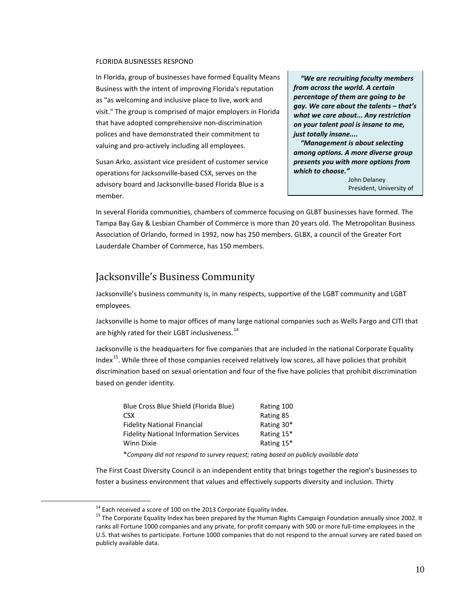#### FLORIDA BUSINESSES RESPOND

In Florida, group of businesses have formed Equality Means Business with the intent of improving Florida's reputation as "as welcoming and inclusive place to live, work and visit." The group is comprised of major employers in Florida that have adopted comprehensive non-discrimination polices and have demonstrated their commitment to valuing and pro-actively including all employees.

Susan Arko, assistant vice president of customer service operations for Jacksonville-based CSX, serves on the advisory board and Jacksonville-based Florida Blue is a member.

 *"We are recruiting faculty members from across the world. A certain percentage of them are going to be gay. We care about the talents – that's what we care about... Any restriction on your talent pool is insane to me, just totally insane....*

 *"Management is about selecting among options. A more diverse group presents you with more options from which to choose."*

> John Delaney President, University of

In several Florida communities, chambers of commerce focusing on GLBT businesses have formed. The Tampa Bay Gay & Lesbian Chamber of Commerce is more than 20 years old. The Metropolitan Business Association of Orlando, formed in 1992, now has 250 members. GLBX, a council of the Greater Fort Lauderdale Chamber of Commerce, has 150 members.

# Jacksonville's Business Community

Jacksonville's business community is, in many respects, supportive of the LGBT community and LGBT employees.

Jacksonville is home to major offices of many large national companies such as Wells Fargo and CITI that are highly rated for their LGBT inclusiveness.<sup>[14](#page-9-0)</sup>

Jacksonville is the headquarters for five companies that are included in the national Corporate Equality Index<sup>[15](#page-9-1)</sup>. While three of those companies received relatively low scores, all have policies that prohibit discrimination based on sexual orientation and four of the five have policies that prohibit discrimination based on gender identity.

| Blue Cross Blue Shield (Florida Blue)         | Rating 100 |
|-----------------------------------------------|------------|
| C <sub>S</sub> X                              | Rating 85  |
| <b>Fidelity National Financial</b>            | Rating 30* |
| <b>Fidelity National Information Services</b> | Rating 15* |
| Winn Dixie                                    | Rating 15* |
|                                               |            |

\**Company did not respond to survey request; rating based on publicly available data*

The First Coast Diversity Council is an independent entity that brings together the region's businesses to foster a business environment that values and effectively supports diversity and inclusion. Thirty

<span id="page-9-1"></span><span id="page-9-0"></span> $\overline{a}$ 

<sup>&</sup>lt;sup>14</sup> Each received a score of 100 on the 2013 Corporate Equality Index.<br><sup>15</sup> The Corporate Equality Index has been prepared by the Human Rights Campaign Foundation annually since 2002. It ranks all Fortune 1000 companies and any private, for-profit company with 500 or more full-time employees in the U.S. that wishes to participate. Fortune 1000 companies that do not respond to the annual survey are rated based on publicly available data.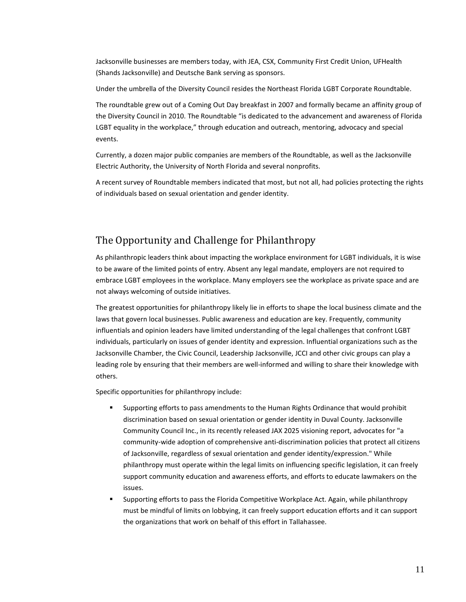Jacksonville businesses are members today, with JEA, CSX, Community First Credit Union, UFHealth (Shands Jacksonville) and Deutsche Bank serving as sponsors.

Under the umbrella of the Diversity Council resides the Northeast Florida LGBT Corporate Roundtable.

The roundtable grew out of a Coming Out Day breakfast in 2007 and formally became an affinity group of the Diversity Council in 2010. The Roundtable "is dedicated to the advancement and awareness of Florida LGBT equality in the workplace," through education and outreach, mentoring, advocacy and special events.

Currently, a dozen major public companies are members of the Roundtable, as well as the Jacksonville Electric Authority, the University of North Florida and several nonprofits.

A recent survey of Roundtable members indicated that most, but not all, had policies protecting the rights of individuals based on sexual orientation and gender identity.

# The Opportunity and Challenge for Philanthropy

As philanthropic leaders think about impacting the workplace environment for LGBT individuals, it is wise to be aware of the limited points of entry. Absent any legal mandate, employers are not required to embrace LGBT employees in the workplace. Many employers see the workplace as private space and are not always welcoming of outside initiatives.

The greatest opportunities for philanthropy likely lie in efforts to shape the local business climate and the laws that govern local businesses. Public awareness and education are key. Frequently, community influentials and opinion leaders have limited understanding of the legal challenges that confront LGBT individuals, particularly on issues of gender identity and expression. Influential organizations such as the Jacksonville Chamber, the Civic Council, Leadership Jacksonville, JCCI and other civic groups can play a leading role by ensuring that their members are well-informed and willing to share their knowledge with others.

Specific opportunities for philanthropy include:

- Supporting efforts to pass amendments to the Human Rights Ordinance that would prohibit discrimination based on sexual orientation or gender identity in Duval County. Jacksonville Community Council Inc., in its recently released JAX 2025 visioning report, advocates for "a community-wide adoption of comprehensive anti-discrimination policies that protect all citizens of Jacksonville, regardless of sexual orientation and gender identity/expression." While philanthropy must operate within the legal limits on influencing specific legislation, it can freely support community education and awareness efforts, and efforts to educate lawmakers on the issues.
- Supporting efforts to pass the Florida Competitive Workplace Act. Again, while philanthropy must be mindful of limits on lobbying, it can freely support education efforts and it can support the organizations that work on behalf of this effort in Tallahassee.